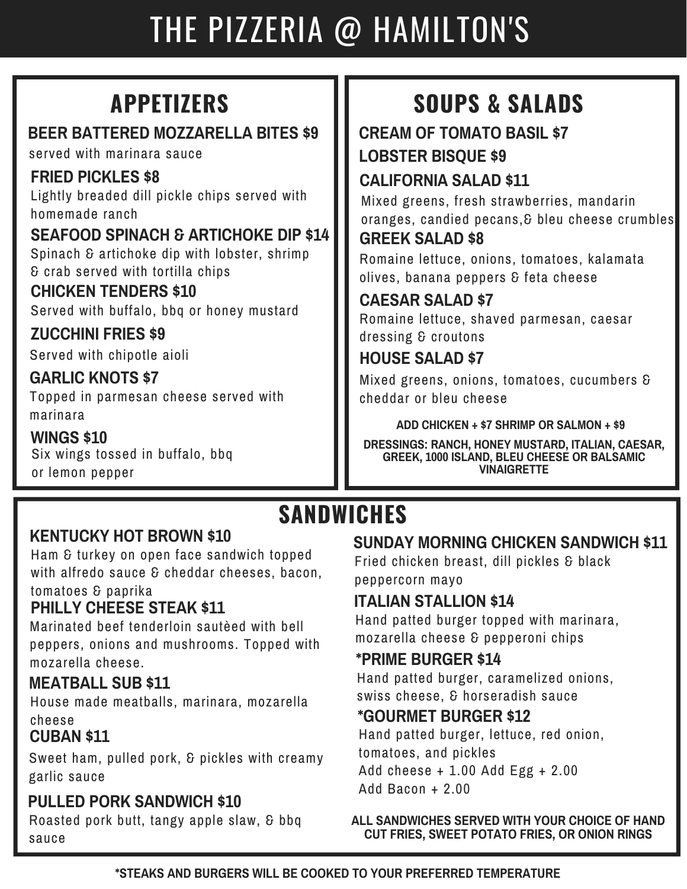# THE PIZZERIA @ HAMILTON'S

### **BEER BATTERED MOZZARELLA BITES \$9**

served with marinara sauce

### **FRIED PICKLES \$8**

Lightly breaded dill pickle chips served with homemade ranch

**SEAFOOD SPINACH & ARTICHOKE DIP \$14** Spinach & artichoke dip with lobster, shrimp & crab served with tortilla chips

### **CHICKEN TENDERS \$10**

Served with buffalo, bbq or honey mustard

**ZUCCHINI FRIES \$9** Served with chipotle aioli

### **GARLIC KNOTS \$7**

Topped in parmesan cheese served with marinara

#### **WINGS \$10** Six wings tossed in buffalo, bbq or lemon pepper

## **APPETIZERS SOUPS & SALADS**

### **CREAM OF TOMATO BASIL \$7 LOBSTER BISQUE \$9**

### **CALIFORNIA SALAD \$11**

Mixed greens, fresh strawberries, mandarin oranges, candied pecans,& bleu cheese crumbles **GREEK SALAD \$8**

Romaine lettuce, onions, tomatoes, kalamata olives, banana peppers & feta cheese

### **CAESAR SALAD \$7**

Romaine lettuce, shaved parmesan, caesar dressing & croutons

### **HOUSE SALAD \$7**

Mixed greens, onions, tomatoes, cucumbers & cheddar or bleu cheese

**ADD CHICKEN + \$7 SHRIMP OR SALMON + \$9**

**DRESSINGS: RANCH, HONEY MUSTARD, ITALIAN, CAESAR, GREEK, 1000 ISLAND, BLEU CHEESE OR BALSAMIC VINAIGRETTE**

## **SANDWICHES**

### **KENTUCKY HOT BROWN \$10**

Ham & turkey on open face sandwich topped with alfredo sauce & cheddar cheeses, bacon, tomatoes & paprika

### **PHILLY CHEESE STEAK \$11**

Marinated beef tenderloin sautèed with bell peppers, onions and mushrooms. Topped with mozarella cheese.

### **MEATBALL SUB \$11**

House made meatballs, marinara, mozarella cheese

### **CUBAN \$11**

Sweet ham, pulled pork, & pickles with creamy garlic sauce

### **PULLED PORK SANDWICH \$10**

Roasted pork butt, tangy apple slaw, & bbq sauce

### **SUNDAY MORNING CHICKEN SANDWICH \$11**

Fried chicken breast, dill pickles & black peppercorn mayo

### **ITALIAN STALLION \$14**

Hand patted burger topped with marinara, mozarella cheese & pepperoni chips

### **\*PRIME BURGER \$14**

Hand patted burger, caramelized onions, swiss cheese, & horseradish sauce

### **\*GOURMET BURGER \$12**

Hand patted burger, lettuce, red onion, tomatoes, and pickles Add cheese + 1.00 Add Egg + 2.00 Add Bacon + 2.00

#### **ALL SANDWICHES SERVED WITH YOUR CHOICE OF HAND CUT FRIES, SWEET POTATO FRIES, OR ONION RINGS**